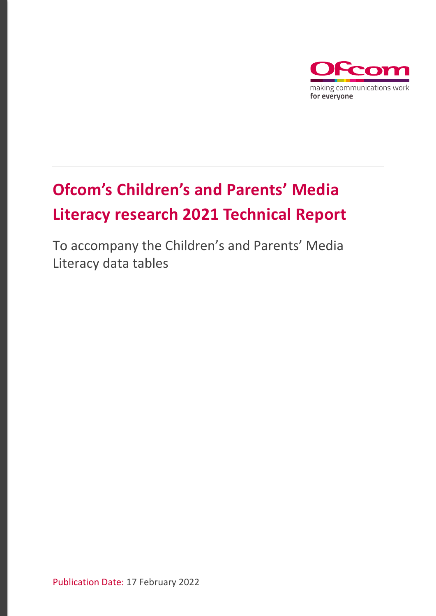

# **Ofcom's Children's and Parents' Media Literacy research 2021 Technical Report**

To accompany the Children's and Parents' Media Literacy data tables

Publication Date: 17 February 2022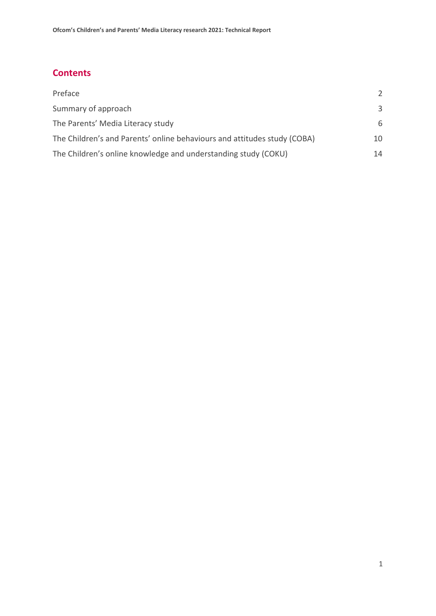## **Contents**

| Preface                                                                  | $\mathcal{P}$ |
|--------------------------------------------------------------------------|---------------|
| Summary of approach                                                      | $\mathcal{R}$ |
| The Parents' Media Literacy study                                        | 6             |
| The Children's and Parents' online behaviours and attitudes study (COBA) | 10            |
| The Children's online knowledge and understanding study (COKU)           | 14            |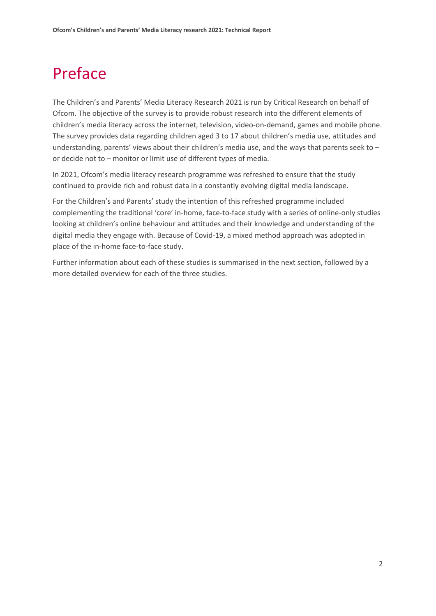## <span id="page-2-0"></span>Preface

The Children's and Parents' Media Literacy Research 2021 is run by Critical Research on behalf of Ofcom. The objective of the survey is to provide robust research into the different elements of children's media literacy across the internet, television, video-on-demand, games and mobile phone. The survey provides data regarding children aged 3 to 17 about children's media use, attitudes and understanding, parents' views about their children's media use, and the ways that parents seek to or decide not to – monitor or limit use of different types of media.

In 2021, Ofcom's media literacy research programme was refreshed to ensure that the study continued to provide rich and robust data in a constantly evolving digital media landscape.

For the Children's and Parents' study the intention of this refreshed programme included complementing the traditional 'core' in-home, face-to-face study with a series of online-only studies looking at children's online behaviour and attitudes and their knowledge and understanding of the digital media they engage with. Because of Covid-19, a mixed method approach was adopted in place of the in-home face-to-face study.

Further information about each of these studies is summarised in the next section, followed by a more detailed overview for each of the three studies.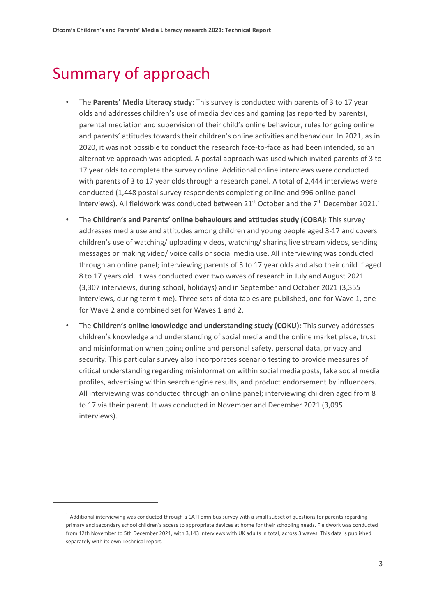## <span id="page-3-0"></span>Summary of approach

- The **Parents' Media Literacy study**: This survey is conducted with parents of 3 to 17 year olds and addresses children's use of media devices and gaming (as reported by parents), parental mediation and supervision of their child's online behaviour, rules for going online and parents' attitudes towards their children's online activities and behaviour. In 2021, as in 2020, it was not possible to conduct the research face-to-face as had been intended, so an alternative approach was adopted. A postal approach was used which invited parents of 3 to 17 year olds to complete the survey online. Additional online interviews were conducted with parents of 3 to 17 year olds through a research panel. A total of 2,444 interviews were conducted (1,448 postal survey respondents completing online and 996 online panel interviews). All fieldwork was conducted between  $21^{st}$  $21^{st}$  $21^{st}$  October and the  $7^{th}$  December 2021.<sup>1</sup>
- The **Children's and Parents' online behaviours and attitudes study (COBA)**: This survey addresses media use and attitudes among children and young people aged 3-17 and covers children's use of watching/ uploading videos, watching/ sharing live stream videos, sending messages or making video/ voice calls or social media use. All interviewing was conducted through an online panel; interviewing parents of 3 to 17 year olds and also their child if aged 8 to 17 years old. It was conducted over two waves of research in July and August 2021 (3,307 interviews, during school, holidays) and in September and October 2021 (3,355 interviews, during term time). Three sets of data tables are published, one for Wave 1, one for Wave 2 and a combined set for Waves 1 and 2.
- The **Children's online knowledge and understanding study (COKU):** This survey addresses children's knowledge and understanding of social media and the online market place, trust and misinformation when going online and personal safety, personal data, privacy and security. This particular survey also incorporates scenario testing to provide measures of critical understanding regarding misinformation within social media posts, fake social media profiles, advertising within search engine results, and product endorsement by influencers. All interviewing was conducted through an online panel; interviewing children aged from 8 to 17 via their parent. It was conducted in November and December 2021 (3,095 interviews).

<span id="page-3-1"></span> $1$  Additional interviewing was conducted through a CATI omnibus survey with a small subset of questions for parents regarding primary and secondary school children's access to appropriate devices at home for their schooling needs. Fieldwork was conducted from 12th November to 5th December 2021, with 3,143 interviews with UK adults in total, across 3 waves. This data is published separately with its own Technical report.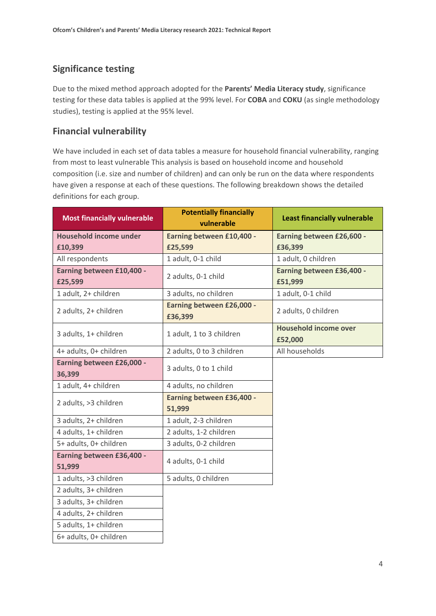## **Significance testing**

Due to the mixed method approach adopted for the **Parents' Media Literacy study**, significance testing for these data tables is applied at the 99% level. For **COBA** and **COKU** (as single methodology studies), testing is applied at the 95% level.

## **Financial vulnerability**

We have included in each set of data tables a measure for household financial vulnerability, ranging from most to least vulnerable This analysis is based on household income and household composition (i.e. size and number of children) and can only be run on the data where respondents have given a response at each of these questions. The following breakdown shows the detailed definitions for each group.

| <b>Most financially vulnerable</b>   | <b>Potentially financially</b><br>vulnerable | <b>Least financially vulnerable</b>     |
|--------------------------------------|----------------------------------------------|-----------------------------------------|
| <b>Household income under</b>        | Earning between £10,400 -                    | Earning between £26,600 -               |
| £10,399                              | £25,599                                      | £36,399                                 |
| All respondents                      | 1 adult, 0-1 child                           | 1 adult, 0 children                     |
| Earning between £10,400 -<br>£25,599 | 2 adults, 0-1 child                          | Earning between £36,400 -<br>£51,999    |
| 1 adult, 2+ children                 | 3 adults, no children                        | 1 adult, 0-1 child                      |
| 2 adults, 2+ children                | Earning between £26,000 -<br>£36,399         | 2 adults, 0 children                    |
| 3 adults, 1+ children                | 1 adult, 1 to 3 children                     | <b>Household income over</b><br>£52,000 |
| 4+ adults, 0+ children               | 2 adults, 0 to 3 children                    | All households                          |
| Earning between £26,000 -<br>36,399  | 3 adults, 0 to 1 child                       |                                         |
| 1 adult, 4+ children                 | 4 adults, no children                        |                                         |
| 2 adults, >3 children                | Earning between £36,400 -<br>51,999          |                                         |
| 3 adults, 2+ children                | 1 adult, 2-3 children                        |                                         |
| 4 adults, 1+ children                | 2 adults, 1-2 children                       |                                         |
| 5+ adults, 0+ children               | 3 adults, 0-2 children                       |                                         |
| Earning between £36,400 -<br>51,999  | 4 adults, 0-1 child                          |                                         |
| 1 adults, >3 children                | 5 adults, 0 children                         |                                         |
| 2 adults, 3+ children                |                                              |                                         |
| 3 adults, 3+ children                |                                              |                                         |
| 4 adults, 2+ children                |                                              |                                         |
| 5 adults, 1+ children                |                                              |                                         |
| 6+ adults, 0+ children               |                                              |                                         |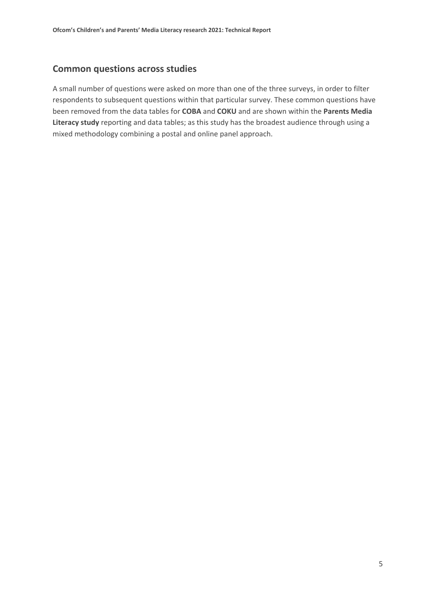### **Common questions across studies**

A small number of questions were asked on more than one of the three surveys, in order to filter respondents to subsequent questions within that particular survey. These common questions have been removed from the data tables for **COBA** and **COKU** and are shown within the **Parents Media Literacy study** reporting and data tables; as this study has the broadest audience through using a mixed methodology combining a postal and online panel approach.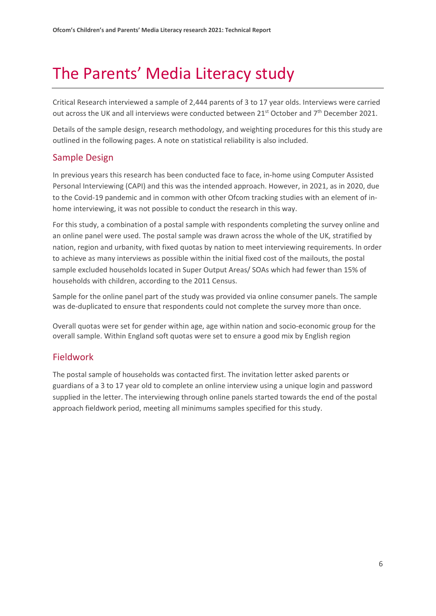## <span id="page-6-0"></span>The Parents' Media Literacy study

Critical Research interviewed a sample of 2,444 parents of 3 to 17 year olds. Interviews were carried out across the UK and all interviews were conducted between 21<sup>st</sup> October and 7<sup>th</sup> December 2021.

Details of the sample design, research methodology, and weighting procedures for this this study are outlined in the following pages. A note on statistical reliability is also included.

## Sample Design

In previous years this research has been conducted face to face, in-home using Computer Assisted Personal Interviewing (CAPI) and this was the intended approach. However, in 2021, as in 2020, due to the Covid-19 pandemic and in common with other Ofcom tracking studies with an element of inhome interviewing, it was not possible to conduct the research in this way.

For this study, a combination of a postal sample with respondents completing the survey online and an online panel were used. The postal sample was drawn across the whole of the UK, stratified by nation, region and urbanity, with fixed quotas by nation to meet interviewing requirements. In order to achieve as many interviews as possible within the initial fixed cost of the mailouts, the postal sample excluded households located in Super Output Areas/ SOAs which had fewer than 15% of households with children, according to the 2011 Census.

Sample for the online panel part of the study was provided via online consumer panels. The sample was de-duplicated to ensure that respondents could not complete the survey more than once.

Overall quotas were set for gender within age, age within nation and socio-economic group for the overall sample. Within England soft quotas were set to ensure a good mix by English region

## Fieldwork

The postal sample of households was contacted first. The invitation letter asked parents or guardians of a 3 to 17 year old to complete an online interview using a unique login and password supplied in the letter. The interviewing through online panels started towards the end of the postal approach fieldwork period, meeting all minimums samples specified for this study.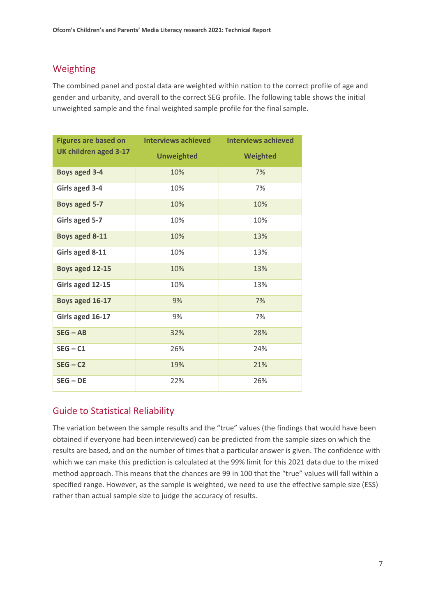## Weighting

The combined panel and postal data are weighted within nation to the correct profile of age and gender and urbanity, and overall to the correct SEG profile. The following table shows the initial unweighted sample and the final weighted sample profile for the final sample.

| <b>Figures are based on</b> | <b>Interviews achieved</b> | <b>Interviews achieved</b> |
|-----------------------------|----------------------------|----------------------------|
| UK children aged 3-17       | <b>Unweighted</b>          | Weighted                   |
| <b>Boys aged 3-4</b>        | 10%                        | 7%                         |
| Girls aged 3-4              | 10%                        | 7%                         |
| Boys aged 5-7               | 10%                        | 10%                        |
| Girls aged 5-7              | 10%                        | 10%                        |
| Boys aged 8-11              | 10%                        | 13%                        |
| Girls aged 8-11             | 10%                        | 13%                        |
| Boys aged 12-15             | 10%                        | 13%                        |
| Girls aged 12-15            | 10%                        | 13%                        |
| Boys aged 16-17             | 9%                         | 7%                         |
| Girls aged 16-17            | 9%                         | 7%                         |
| $SEG - AB$                  | 32%                        | 28%                        |
| $SEG - C1$                  | 26%                        | 24%                        |
| $SEG - C2$                  | 19%                        | 21%                        |
| $SEG - DE$                  | 22%                        | 26%                        |

## Guide to Statistical Reliability

The variation between the sample results and the "true" values (the findings that would have been obtained if everyone had been interviewed) can be predicted from the sample sizes on which the results are based, and on the number of times that a particular answer is given. The confidence with which we can make this prediction is calculated at the 99% limit for this 2021 data due to the mixed method approach. This means that the chances are 99 in 100 that the "true" values will fall within a specified range. However, as the sample is weighted, we need to use the effective sample size (ESS) rather than actual sample size to judge the accuracy of results.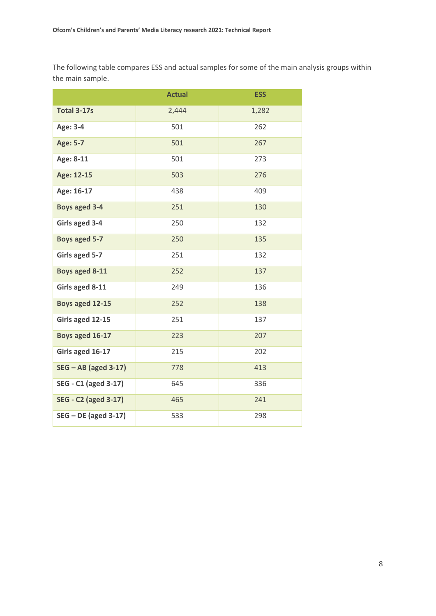The following table compares ESS and actual samples for some of the main analysis groups within the main sample.

|                             | <b>Actual</b> | <b>ESS</b> |
|-----------------------------|---------------|------------|
| <b>Total 3-17s</b>          | 2,444         | 1,282      |
| Age: 3-4                    | 501           | 262        |
| <b>Age: 5-7</b>             | 501           | 267        |
| Age: 8-11                   | 501           | 273        |
| Age: 12-15                  | 503           | 276        |
| Age: 16-17                  | 438           | 409        |
| <b>Boys aged 3-4</b>        | 251           | 130        |
| Girls aged 3-4              | 250           | 132        |
| Boys aged 5-7               | 250           | 135        |
| Girls aged 5-7              | 251           | 132        |
| Boys aged 8-11              | 252           | 137        |
| Girls aged 8-11             | 249           | 136        |
| Boys aged 12-15             | 252           | 138        |
| Girls aged 12-15            | 251           | 137        |
| Boys aged 16-17             | 223           | 207        |
| Girls aged 16-17            | 215           | 202        |
| $SEG - AB$ (aged 3-17)      | 778           | 413        |
| SEG - C1 (aged 3-17)        | 645           | 336        |
| <b>SEG - C2 (aged 3-17)</b> | 465           | 241        |
| $SEG - DE$ (aged 3-17)      | 533           | 298        |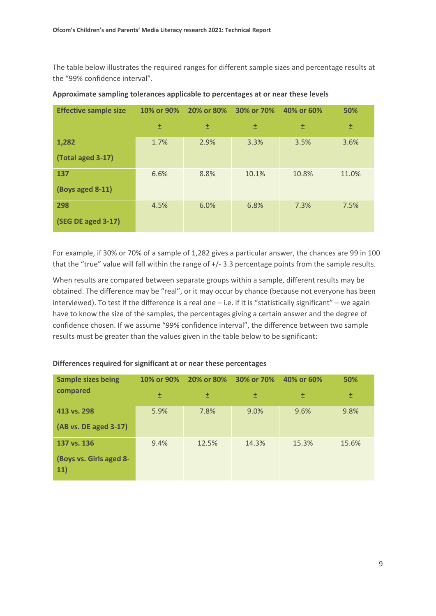The table below illustrates the required ranges for different sample sizes and percentage results at the "99% confidence interval".

| <b>Effective sample size</b> | 10% or 90% | 20% or 80% | 30% or 70% | 40% or 60% | 50%   |
|------------------------------|------------|------------|------------|------------|-------|
|                              | 士          | 土          | 土          | 士          | 土     |
| 1,282                        | 1.7%       | 2.9%       | 3.3%       | 3.5%       | 3.6%  |
| (Total aged 3-17)            |            |            |            |            |       |
| 137                          | 6.6%       | 8.8%       | 10.1%      | 10.8%      | 11.0% |
| (Boys aged 8-11)             |            |            |            |            |       |
| 298                          | 4.5%       | 6.0%       | 6.8%       | 7.3%       | 7.5%  |
| (SEG DE aged 3-17)           |            |            |            |            |       |

#### **Approximate sampling tolerances applicable to percentages at or near these levels**

For example, if 30% or 70% of a sample of 1,282 gives a particular answer, the chances are 99 in 100 that the "true" value will fall within the range of +/- 3.3 percentage points from the sample results.

When results are compared between separate groups within a sample, different results may be obtained. The difference may be "real", or it may occur by chance (because not everyone has been interviewed). To test if the difference is a real one – i.e. if it is "statistically significant" – we again have to know the size of the samples, the percentages giving a certain answer and the degree of confidence chosen. If we assume "99% confidence interval", the difference between two sample results must be greater than the values given in the table below to be significant:

| <b>Sample sizes being</b>      | 10% or 90% | 20% or 80% | 30% or 70% | 40% or 60% | 50%   |
|--------------------------------|------------|------------|------------|------------|-------|
| compared                       | 士          | 土          | 土          | 土          | 士     |
| 413 vs. 298                    | 5.9%       | 7.8%       | 9.0%       | 9.6%       | 9.8%  |
| (AB vs. DE aged 3-17)          |            |            |            |            |       |
| 137 vs. 136                    | 9.4%       | 12.5%      | 14.3%      | 15.3%      | 15.6% |
| (Boys vs. Girls aged 8-<br>11) |            |            |            |            |       |

#### **Differences required for significant at or near these percentages**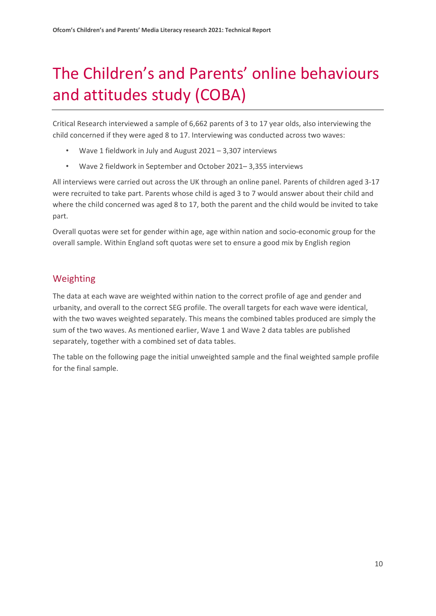# <span id="page-10-0"></span>The Children's and Parents' online behaviours and attitudes study (COBA)

Critical Research interviewed a sample of 6,662 parents of 3 to 17 year olds, also interviewing the child concerned if they were aged 8 to 17. Interviewing was conducted across two waves:

- Wave 1 fieldwork in July and August  $2021 3,307$  interviews
- Wave 2 fieldwork in September and October 2021– 3,355 interviews

All interviews were carried out across the UK through an online panel. Parents of children aged 3-17 were recruited to take part. Parents whose child is aged 3 to 7 would answer about their child and where the child concerned was aged 8 to 17, both the parent and the child would be invited to take part.

Overall quotas were set for gender within age, age within nation and socio-economic group for the overall sample. Within England soft quotas were set to ensure a good mix by English region

## Weighting

The data at each wave are weighted within nation to the correct profile of age and gender and urbanity, and overall to the correct SEG profile. The overall targets for each wave were identical, with the two waves weighted separately. This means the combined tables produced are simply the sum of the two waves. As mentioned earlier, Wave 1 and Wave 2 data tables are published separately, together with a combined set of data tables.

The table on the following page the initial unweighted sample and the final weighted sample profile for the final sample.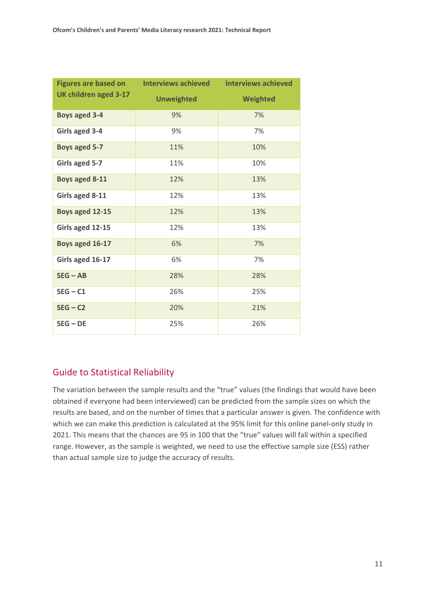| <b>Figures are based on</b> | <b>Interviews achieved</b> | <b>Interviews achieved</b> |
|-----------------------------|----------------------------|----------------------------|
| UK children aged 3-17       | <b>Unweighted</b>          | Weighted                   |
| <b>Boys aged 3-4</b>        | 9%                         | 7%                         |
| Girls aged 3-4              | 9%                         | 7%                         |
| Boys aged 5-7               | 11%                        | 10%                        |
| Girls aged 5-7              | 11%                        | 10%                        |
| Boys aged 8-11              | 12%                        | 13%                        |
| Girls aged 8-11             | 12%                        | 13%                        |
| Boys aged 12-15             | 12%                        | 13%                        |
| Girls aged 12-15            | 12%                        | 13%                        |
| Boys aged 16-17             | 6%                         | 7%                         |
| Girls aged 16-17            | 6%                         | 7%                         |
| $SEG - AB$                  | 28%                        | 28%                        |
| $SEG - C1$                  | 26%                        | 25%                        |
| $SEG - C2$                  | 20%                        | 21%                        |
| $SEG - DE$                  | 25%                        | 26%                        |

## Guide to Statistical Reliability

The variation between the sample results and the "true" values (the findings that would have been obtained if everyone had been interviewed) can be predicted from the sample sizes on which the results are based, and on the number of times that a particular answer is given. The confidence with which we can make this prediction is calculated at the 95% limit for this online panel-only study in 2021. This means that the chances are 95 in 100 that the "true" values will fall within a specified range. However, as the sample is weighted, we need to use the effective sample size (ESS) rather than actual sample size to judge the accuracy of results.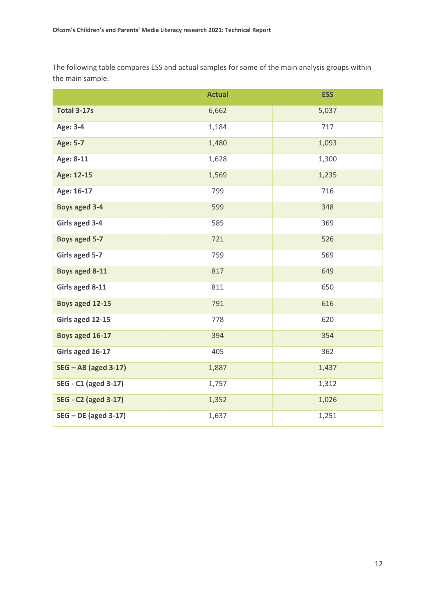The following table compares ESS and actual samples for some of the main analysis groups within the main sample.

|                             | <b>Actual</b> | <b>ESS</b> |
|-----------------------------|---------------|------------|
| <b>Total 3-17s</b>          | 6,662         | 5,037      |
| Age: 3-4                    | 1,184         | 717        |
| <b>Age: 5-7</b>             | 1,480         | 1,093      |
| Age: 8-11                   | 1,628         | 1,300      |
| Age: 12-15                  | 1,569         | 1,235      |
| Age: 16-17                  | 799           | 716        |
| <b>Boys aged 3-4</b>        | 599           | 348        |
| Girls aged 3-4              | 585           | 369        |
| <b>Boys aged 5-7</b>        | 721           | 526        |
| Girls aged 5-7              | 759           | 569        |
| Boys aged 8-11              | 817           | 649        |
| Girls aged 8-11             | 811           | 650        |
| Boys aged 12-15             | 791           | 616        |
| Girls aged 12-15            | 778           | 620        |
| Boys aged 16-17             | 394           | 354        |
| Girls aged 16-17            | 405           | 362        |
| $SEG - AB$ (aged 3-17)      | 1,887         | 1,437      |
| <b>SEG - C1 (aged 3-17)</b> | 1,757         | 1,312      |
| <b>SEG - C2 (aged 3-17)</b> | 1,352         | 1,026      |
| $SEG - DE$ (aged 3-17)      | 1,637         | 1,251      |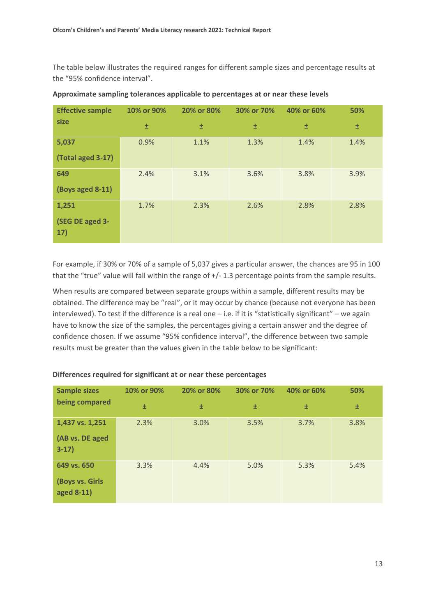The table below illustrates the required ranges for different sample sizes and percentage results at the "95% confidence interval".

| <b>Effective sample</b> | 10% or 90% | 20% or 80% | 30% or 70% | 40% or 60% | 50%  |
|-------------------------|------------|------------|------------|------------|------|
| size                    | Ŧ          | 土          | 土          | Ŧ          | 土    |
| 5,037                   | 0.9%       | 1.1%       | 1.3%       | 1.4%       | 1.4% |
| (Total aged 3-17)       |            |            |            |            |      |
| 649                     | 2.4%       | 3.1%       | 3.6%       | 3.8%       | 3.9% |
| (Boys aged 8-11)        |            |            |            |            |      |
| 1,251                   | 1.7%       | 2.3%       | 2.6%       | 2.8%       | 2.8% |
| (SEG DE aged 3-<br>17)  |            |            |            |            |      |

#### **Approximate sampling tolerances applicable to percentages at or near these levels**

For example, if 30% or 70% of a sample of 5,037 gives a particular answer, the chances are 95 in 100 that the "true" value will fall within the range of +/- 1.3 percentage points from the sample results.

When results are compared between separate groups within a sample, different results may be obtained. The difference may be "real", or it may occur by chance (because not everyone has been interviewed). To test if the difference is a real one – i.e. if it is "statistically significant" – we again have to know the size of the samples, the percentages giving a certain answer and the degree of confidence chosen. If we assume "95% confidence interval", the difference between two sample results must be greater than the values given in the table below to be significant:

| <b>Sample sizes</b>           | 10% or 90% | 20% or 80% | 30% or 70% | 40% or 60% | 50%  |
|-------------------------------|------------|------------|------------|------------|------|
| being compared                | 土          | 土          | 土          | 土          | 土    |
| 1,437 vs. 1,251               | 2.3%       | 3.0%       | 3.5%       | 3.7%       | 3.8% |
| (AB vs. DE aged<br>$3-17)$    |            |            |            |            |      |
| 649 vs. 650                   | 3.3%       | 4.4%       | 5.0%       | 5.3%       | 5.4% |
| (Boys vs. Girls<br>aged 8-11) |            |            |            |            |      |

#### **Differences required for significant at or near these percentages**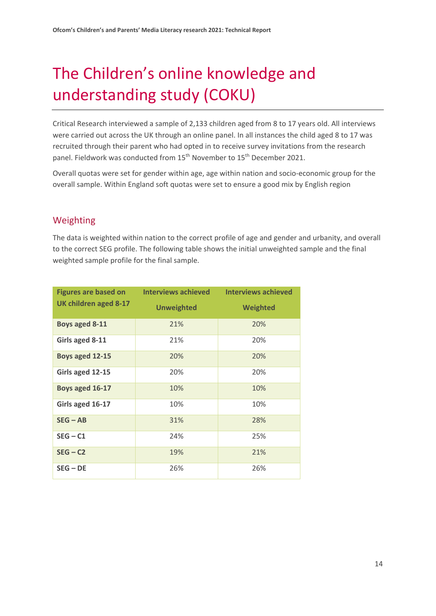# <span id="page-14-0"></span>The Children's online knowledge and understanding study (COKU)

Critical Research interviewed a sample of 2,133 children aged from 8 to 17 years old. All interviews were carried out across the UK through an online panel. In all instances the child aged 8 to 17 was recruited through their parent who had opted in to receive survey invitations from the research panel. Fieldwork was conducted from 15<sup>th</sup> November to 15<sup>th</sup> December 2021.

Overall quotas were set for gender within age, age within nation and socio-economic group for the overall sample. Within England soft quotas were set to ensure a good mix by English region

## Weighting

The data is weighted within nation to the correct profile of age and gender and urbanity, and overall to the correct SEG profile. The following table shows the initial unweighted sample and the final weighted sample profile for the final sample.

|                       | Figures are based on lnterviews achieved | <b>Interviews achieved</b> |
|-----------------------|------------------------------------------|----------------------------|
| UK children aged 8-17 | <b>Unweighted</b>                        | Weighted                   |
| <b>Boys aged 8-11</b> | 21%                                      | 20%                        |
| Girls aged 8-11       | 21%                                      | 20%                        |
| Boys aged 12-15       | 20%                                      | 20%                        |
| Girls aged 12-15      | 20%                                      | 20%                        |
| Boys aged 16-17       | 10%                                      | 10%                        |
| Girls aged 16-17      | 10%                                      | 10%                        |
| $SEG - AB$            | 31%                                      | 28%                        |
| $SEG - C1$            | 24%                                      | 25%                        |
| $SEG - C2$            | 19%                                      | 21%                        |
| $SEG - DE$            | 26%                                      | 26%                        |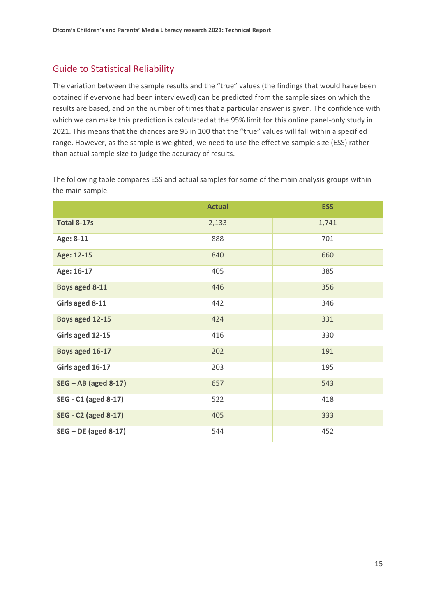## Guide to Statistical Reliability

The variation between the sample results and the "true" values (the findings that would have been obtained if everyone had been interviewed) can be predicted from the sample sizes on which the results are based, and on the number of times that a particular answer is given. The confidence with which we can make this prediction is calculated at the 95% limit for this online panel-only study in 2021. This means that the chances are 95 in 100 that the "true" values will fall within a specified range. However, as the sample is weighted, we need to use the effective sample size (ESS) rather than actual sample size to judge the accuracy of results.

The following table compares ESS and actual samples for some of the main analysis groups within the main sample.

|                             | <b>Actual</b> | <b>ESS</b> |
|-----------------------------|---------------|------------|
| <b>Total 8-17s</b>          | 2,133         | 1,741      |
| Age: 8-11                   | 888           | 701        |
| Age: 12-15                  | 840           | 660        |
| Age: 16-17                  | 405           | 385        |
| Boys aged 8-11              | 446           | 356        |
| Girls aged 8-11             | 442           | 346        |
| Boys aged 12-15             | 424           | 331        |
| Girls aged 12-15            | 416           | 330        |
| Boys aged 16-17             | 202           | 191        |
| Girls aged 16-17            | 203           | 195        |
| $SEG - AB$ (aged 8-17)      | 657           | 543        |
| SEG - C1 (aged 8-17)        | 522           | 418        |
| <b>SEG - C2 (aged 8-17)</b> | 405           | 333        |
| $SEG - DE$ (aged 8-17)      | 544           | 452        |